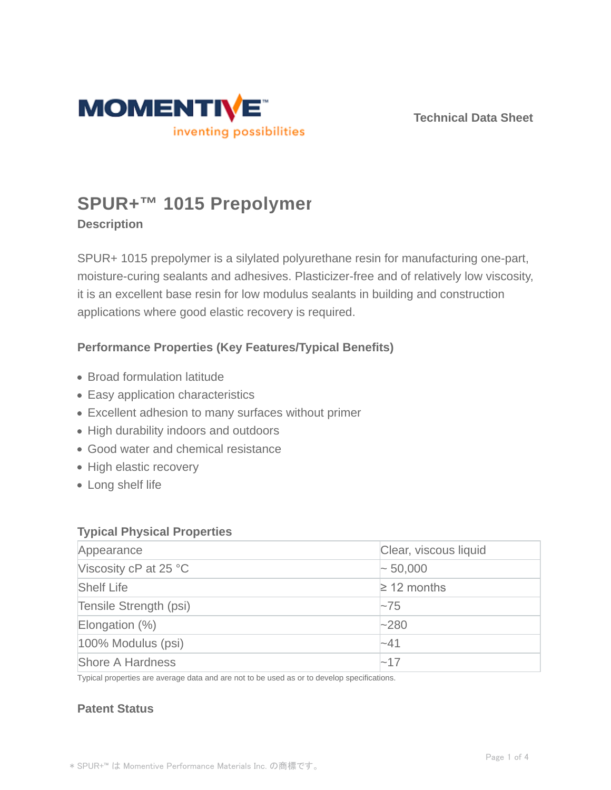

**Technical Data Sheet**

# **SPUR+™ 1015 Prepolymer**

## **Description**

SPUR+ 1015 prepolymer is a silylated polyurethane resin for manufacturing one-part, moisture-curing sealants and adhesives. Plasticizer-free and of relatively low viscosity, it is an excellent base resin for low modulus sealants in building and construction applications where good elastic recovery is required.

## **Performance Properties (Key Features/Typical Benefits)**

- Broad formulation latitude
- Easy application characteristics
- Excellent adhesion to many surfaces without primer
- High durability indoors and outdoors
- Good water and chemical resistance
- High elastic recovery
- Long shelf life

#### **Typical Physical Properties**

| Appearance              | Clear, viscous liquid |  |
|-------------------------|-----------------------|--|
| Viscosity cP at 25 °C   | $\sim 50,000$         |  |
| <b>Shelf Life</b>       | $\geq$ 12 months      |  |
| Tensile Strength (psi)  | $\sim$ 75             |  |
| Elongation $(\%)$       | $-280$                |  |
| 100% Modulus (psi)      | $-41$                 |  |
| <b>Shore A Hardness</b> | $-17$                 |  |

Typical properties are average data and are not to be used as or to develop specifications.

### **Patent Status**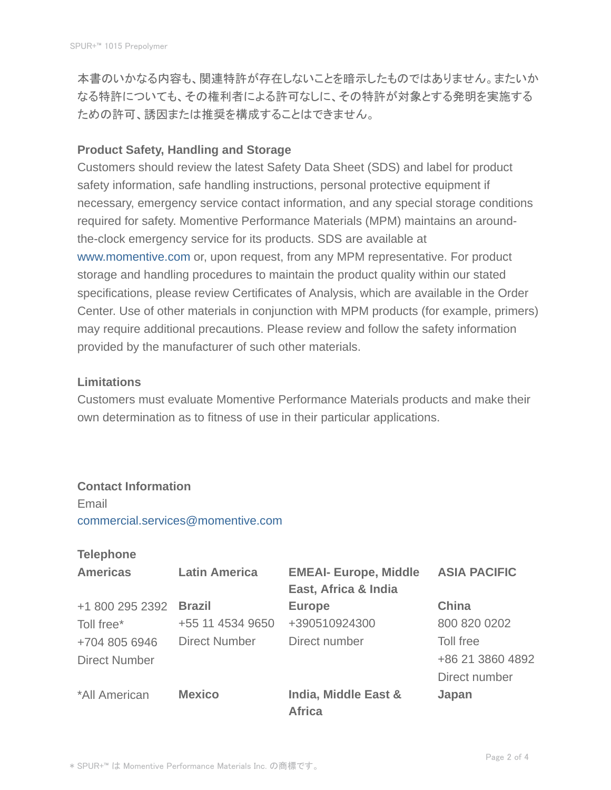本書のいかなる内容も、関連特許が存在しないことを暗示したものではありません。またいか なる特許についても、その権利者による許可なしに、その特許が対象とする発明を実施する ための許可、誘因または推奨を構成することはできません。

#### **Product Safety, Handling and Storage**

Customers should review the latest Safety Data Sheet (SDS) and label for product safety information, safe handling instructions, personal protective equipment if necessary, emergency service contact information, and any special storage conditions required for safety. Momentive Performance Materials (MPM) maintains an aroundthe-clock emergency service for its products. SDS are available at www.momentive.com or, upon request, from any MPM representative. For product storage and handling procedures to maintain the product quality within our stated specifications, please review Certificates of Analysis, which are available in the Order Center. Use of other materials in conjunction with MPM products (for example, primers) may require additional precautions. Please review and follow the safety information provided by the manufacturer of such other materials.

#### **Limitations**

Customers must evaluate Momentive Performance Materials products and make their own determination as to fitness of use in their particular applications.

#### **Contact Information**

Email commercial.services@momentive.com

#### **Telephone**

| <b>Americas</b>      | <b>Latin America</b> | <b>EMEAI- Europe, Middle</b>          | <b>ASIA PACIFIC</b> |
|----------------------|----------------------|---------------------------------------|---------------------|
|                      |                      | East, Africa & India                  |                     |
| +1 800 295 2392      | <b>Brazil</b>        | <b>Europe</b>                         | <b>China</b>        |
| Toll free*           | +55 11 4534 9650     | +390510924300                         | 800 820 0202        |
| +704 805 6946        | <b>Direct Number</b> | Direct number                         | Toll free           |
| <b>Direct Number</b> |                      |                                       | +86 21 3860 4892    |
|                      |                      |                                       | Direct number       |
| *All American        | <b>Mexico</b>        | India, Middle East &<br><b>Africa</b> | Japan               |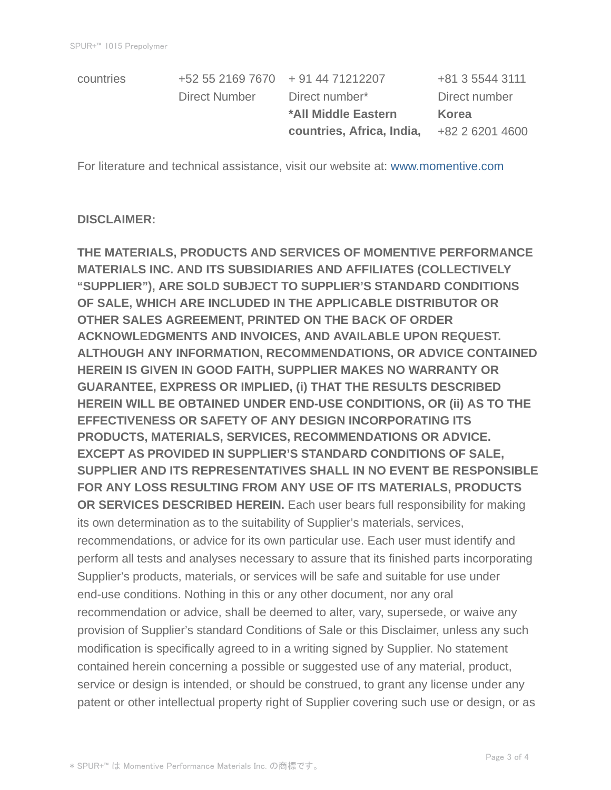| countries | +52 55 2169 7670 + 91 44 71212207 |                           | +81 3 5544 3111 |
|-----------|-----------------------------------|---------------------------|-----------------|
|           | Direct Number                     | Direct number*            | Direct number   |
|           |                                   | *All Middle Eastern       | <b>Korea</b>    |
|           |                                   | countries, Africa, India, | +82 2 6201 4600 |
|           |                                   |                           |                 |

For literature and technical assistance, visit our website at: www.momentive.com

#### **DISCLAIMER:**

**THE MATERIALS, PRODUCTS AND SERVICES OF MOMENTIVE PERFORMANCE MATERIALS INC. AND ITS SUBSIDIARIES AND AFFILIATES (COLLECTIVELY "SUPPLIER"), ARE SOLD SUBJECT TO SUPPLIER'S STANDARD CONDITIONS OF SALE, WHICH ARE INCLUDED IN THE APPLICABLE DISTRIBUTOR OR OTHER SALES AGREEMENT, PRINTED ON THE BACK OF ORDER ACKNOWLEDGMENTS AND INVOICES, AND AVAILABLE UPON REQUEST. ALTHOUGH ANY INFORMATION, RECOMMENDATIONS, OR ADVICE CONTAINED HEREIN IS GIVEN IN GOOD FAITH, SUPPLIER MAKES NO WARRANTY OR GUARANTEE, EXPRESS OR IMPLIED, (i) THAT THE RESULTS DESCRIBED HEREIN WILL BE OBTAINED UNDER END-USE CONDITIONS, OR (ii) AS TO THE EFFECTIVENESS OR SAFETY OF ANY DESIGN INCORPORATING ITS PRODUCTS, MATERIALS, SERVICES, RECOMMENDATIONS OR ADVICE. EXCEPT AS PROVIDED IN SUPPLIER'S STANDARD CONDITIONS OF SALE, SUPPLIER AND ITS REPRESENTATIVES SHALL IN NO EVENT BE RESPONSIBLE FOR ANY LOSS RESULTING FROM ANY USE OF ITS MATERIALS, PRODUCTS OR SERVICES DESCRIBED HEREIN.** Each user bears full responsibility for making its own determination as to the suitability of Supplier's materials, services, recommendations, or advice for its own particular use. Each user must identify and perform all tests and analyses necessary to assure that its finished parts incorporating Supplier's products, materials, or services will be safe and suitable for use under end-use conditions. Nothing in this or any other document, nor any oral recommendation or advice, shall be deemed to alter, vary, supersede, or waive any provision of Supplier's standard Conditions of Sale or this Disclaimer, unless any such modification is specifically agreed to in a writing signed by Supplier. No statement contained herein concerning a possible or suggested use of any material, product, service or design is intended, or should be construed, to grant any license under any patent or other intellectual property right of Supplier covering such use or design, or as